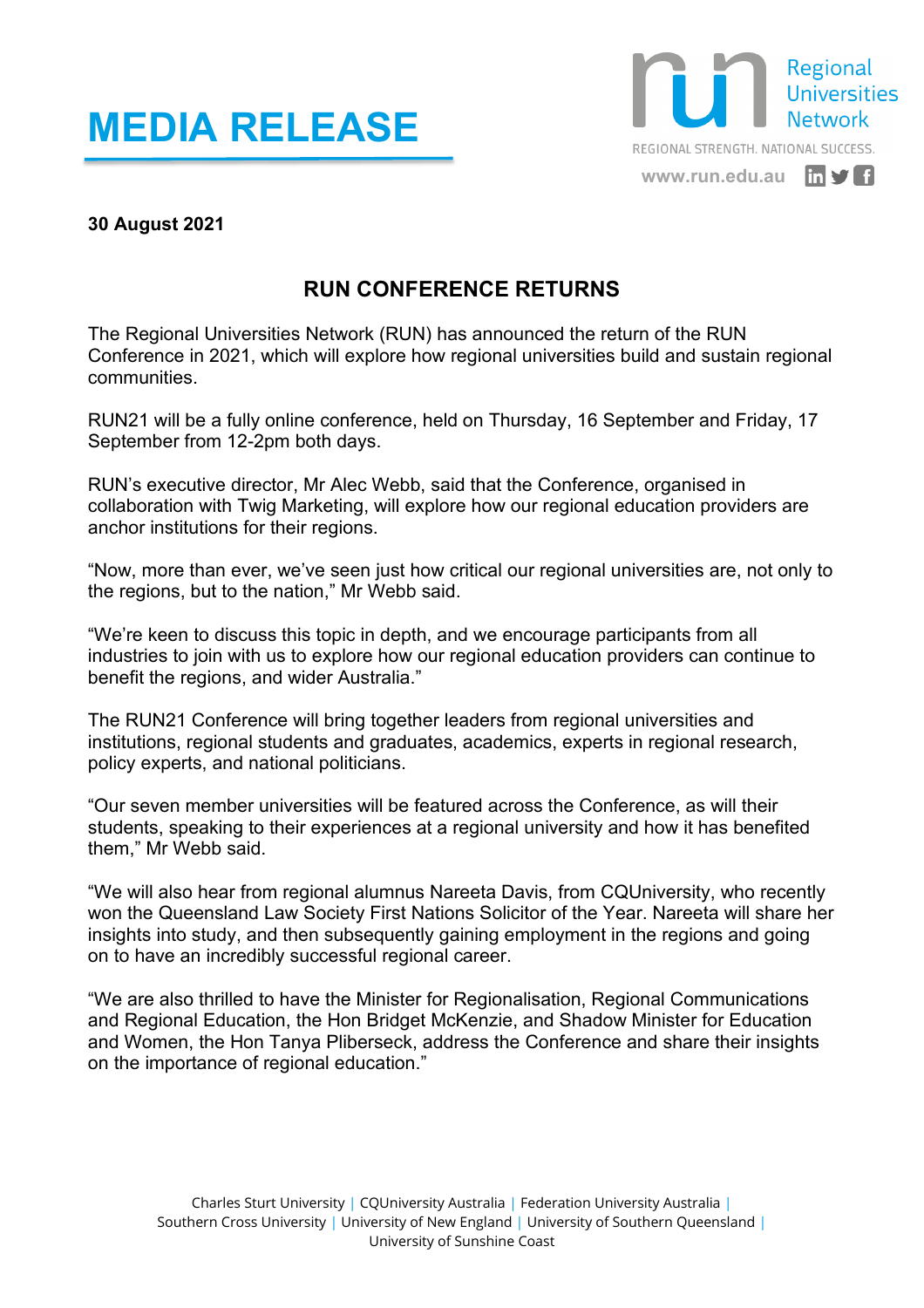## **MEDIA RELEASE**



## **30 August 2021**

## **RUN CONFERENCE RETURNS**

The Regional Universities Network (RUN) has announced the return of the RUN Conference in 2021, which will explore how regional universities build and sustain regional communities.

RUN21 will be a fully online conference, held on Thursday, 16 September and Friday, 17 September from 12-2pm both days.

RUN's executive director, Mr Alec Webb, said that the Conference, organised in collaboration with Twig Marketing, will explore how our regional education providers are anchor institutions for their regions.

"Now, more than ever, we've seen just how critical our regional universities are, not only to the regions, but to the nation," Mr Webb said.

"We're keen to discuss this topic in depth, and we encourage participants from all industries to join with us to explore how our regional education providers can continue to benefit the regions, and wider Australia."

The RUN21 Conference will bring together leaders from regional universities and institutions, regional students and graduates, academics, experts in regional research, policy experts, and national politicians.

"Our seven member universities will be featured across the Conference, as will their students, speaking to their experiences at a regional university and how it has benefited them," Mr Webb said.

"We will also hear from regional alumnus Nareeta Davis, from CQUniversity, who recently won the Queensland Law Society First Nations Solicitor of the Year. Nareeta will share her insights into study, and then subsequently gaining employment in the regions and going on to have an incredibly successful regional career.

"We are also thrilled to have the Minister for Regionalisation, Regional Communications and Regional Education, the Hon Bridget McKenzie, and Shadow Minister for Education and Women, the Hon Tanya Pliberseck, address the Conference and share their insights on the importance of regional education."